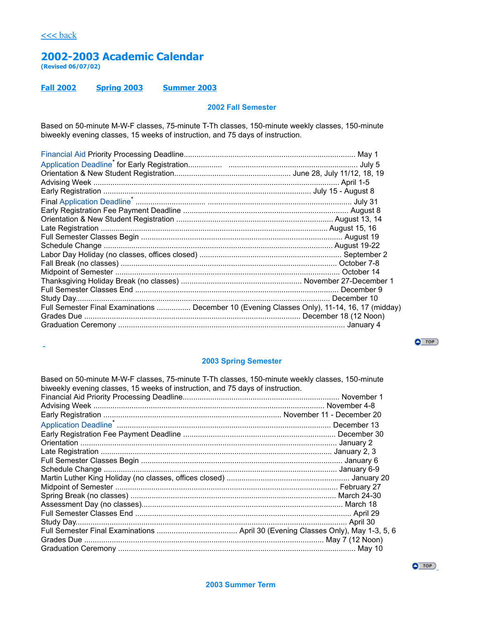[<<< back](https://academics.columbusstate.edu/calendars/pastcal.php)

i.

# **2002-2003 Academic Calendar**

**(Revised 06/07/02)**

### **[Fall 2002](#page-0-0) [Spring 2003](#page-0-1) [Summer 2003](#page-0-2)**

### <span id="page-0-0"></span>**2002 Fall Semester**

Based on 50-minute M-W-F classes, 75-minute T-Th classes, 150-minute weekly classes, 150-minute biweekly evening classes, 15 weeks of instruction, and 75 days of instruction.

| Full Semester Final Examinations  December 10 (Evening Classes Only), 11-14, 16, 17 (midday) |  |
|----------------------------------------------------------------------------------------------|--|
|                                                                                              |  |
|                                                                                              |  |
|                                                                                              |  |

 $\bullet$  TOP

### <span id="page-0-1"></span>**2003 Spring Semester**

| Based on 50-minute M-W-F classes, 75-minute T-Th classes, 150-minute weekly classes, 150-minute |  |
|-------------------------------------------------------------------------------------------------|--|
| biweekly evening classes, 15 weeks of instruction, and 75 days of instruction.                  |  |
|                                                                                                 |  |
|                                                                                                 |  |
|                                                                                                 |  |
|                                                                                                 |  |
|                                                                                                 |  |
|                                                                                                 |  |
|                                                                                                 |  |
|                                                                                                 |  |
|                                                                                                 |  |
|                                                                                                 |  |
|                                                                                                 |  |
|                                                                                                 |  |
|                                                                                                 |  |
|                                                                                                 |  |
|                                                                                                 |  |
|                                                                                                 |  |
|                                                                                                 |  |
|                                                                                                 |  |

<span id="page-0-2"></span>